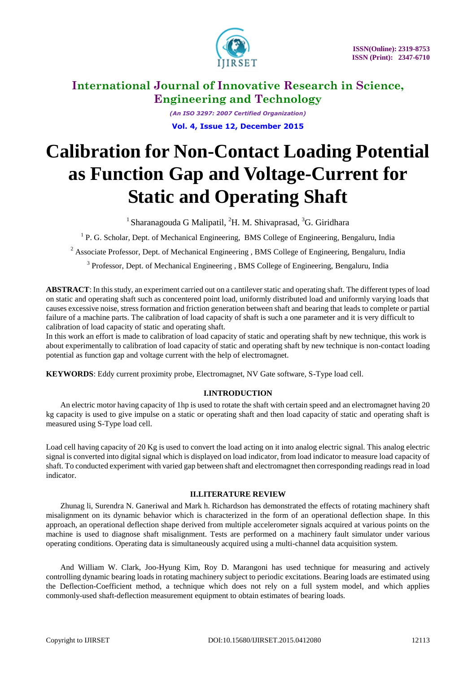

*(An ISO 3297: 2007 Certified Organization)* **Vol. 4, Issue 12, December 2015**

# **Calibration for Non-Contact Loading Potential as Function Gap and Voltage-Current for Static and Operating Shaft**

<sup>1</sup> Sharanagouda G Malipatil, <sup>2</sup>H. M. Shivaprasad, <sup>3</sup>G. Giridhara

<sup>1</sup> P. G. Scholar, Dept. of Mechanical Engineering, BMS College of Engineering, Bengaluru, India

<sup>2</sup> Associate Professor, Dept. of Mechanical Engineering, BMS College of Engineering, Bengaluru, India

<sup>3</sup> Professor, Dept. of Mechanical Engineering, BMS College of Engineering, Bengaluru, India

**ABSTRACT**: In this study, an experiment carried out on a cantilever static and operating shaft. The different types of load on static and operating shaft such as concentered point load, uniformly distributed load and uniformly varying loads that causes excessive noise, stress formation and friction generation between shaft and bearing that leads to complete or partial failure of a machine parts. The calibration of load capacity of shaft is such a one parameter and it is very difficult to calibration of load capacity of static and operating shaft.

In this work an effort is made to calibration of load capacity of static and operating shaft by new technique, this work is about experimentally to calibration of load capacity of static and operating shaft by new technique is non-contact loading potential as function gap and voltage current with the help of electromagnet.

**KEYWORDS**: Eddy current proximity probe, Electromagnet, NV Gate software, S-Type load cell.

### **I.INTRODUCTION**

An electric motor having capacity of 1hp is used to rotate the shaft with certain speed and an electromagnet having 20 kg capacity is used to give impulse on a static or operating shaft and then load capacity of static and operating shaft is measured using S-Type load cell.

Load cell having capacity of 20 Kg is used to convert the load acting on it into analog electric signal. This analog electric signal is converted into digital signal which is displayed on load indicator, from load indicator to measure load capacity of shaft. To conducted experiment with varied gap between shaft and electromagnet then corresponding readings read in load indicator.

#### **II.LITERATURE REVIEW**

Zhunag li, Surendra N. Ganeriwal and Mark h. Richardson has demonstrated the effects of rotating machinery shaft misalignment on its dynamic behavior which is characterized in the form of an operational deflection shape. In this approach, an operational deflection shape derived from multiple accelerometer signals acquired at various points on the machine is used to diagnose shaft misalignment. Tests are performed on a machinery fault simulator under various operating conditions. Operating data is simultaneously acquired using a multi-channel data acquisition system.

And William W. Clark, Joo-Hyung Kim, Roy D. Marangoni has used technique for measuring and actively controlling dynamic bearing loads in rotating machinery subject to periodic excitations. Bearing loads are estimated using the Deflection-Coefficient method, a technique which does not rely on a full system model, and which applies commonly-used shaft-deflection measurement equipment to obtain estimates of bearing loads.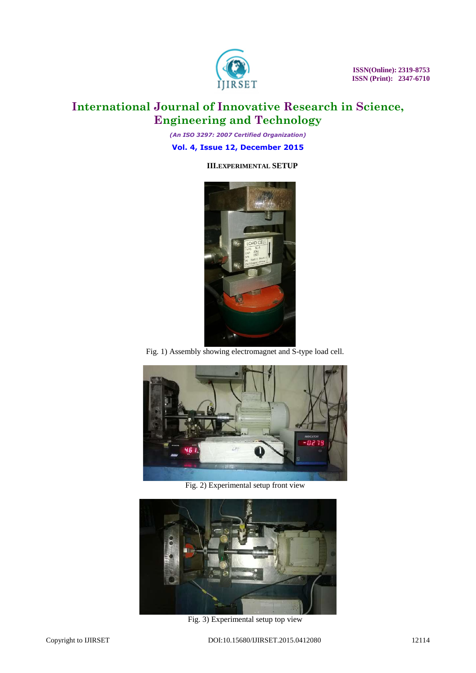

 **ISSN(Online): 2319-8753 ISSN (Print): 2347-6710** 

# **International Journal of Innovative Research in Science, Engineering and Technology**

*(An ISO 3297: 2007 Certified Organization)*

**Vol. 4, Issue 12, December 2015**

### **III.EXPERIMENTAL SETUP**



Fig. 1) Assembly showing electromagnet and S-type load cell.



Fig. 2) Experimental setup front view



Fig. 3) Experimental setup top view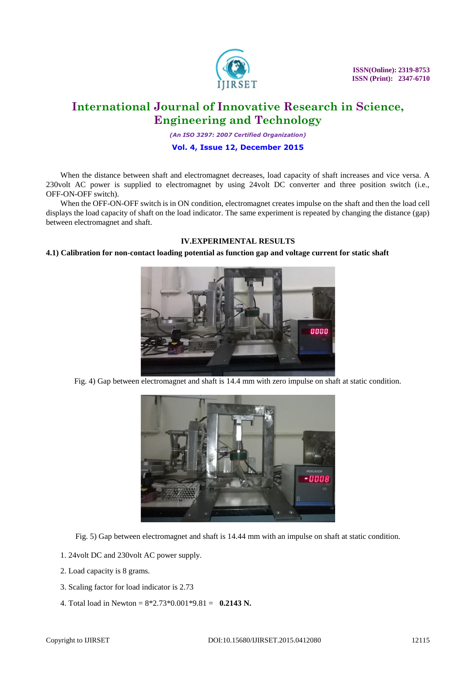

*(An ISO 3297: 2007 Certified Organization)*

### **Vol. 4, Issue 12, December 2015**

When the distance between shaft and electromagnet decreases, load capacity of shaft increases and vice versa. A 230volt AC power is supplied to electromagnet by using 24volt DC converter and three position switch (i.e., OFF-ON-OFF switch).

When the OFF-ON-OFF switch is in ON condition, electromagnet creates impulse on the shaft and then the load cell displays the load capacity of shaft on the load indicator. The same experiment is repeated by changing the distance (gap) between electromagnet and shaft.

### **IV.EXPERIMENTAL RESULTS**

#### **4.1) Calibration for non-contact loading potential as function gap and voltage current for static shaft**



Fig. 4) Gap between electromagnet and shaft is 14.4 mm with zero impulse on shaft at static condition.



Fig. 5) Gap between electromagnet and shaft is 14.44 mm with an impulse on shaft at static condition.

- 1. 24volt DC and 230volt AC power supply.
- 2. Load capacity is 8 grams.
- 3. Scaling factor for load indicator is 2.73
- 4. Total load in Newton =  $8*2.73*0.001*9.81 = 0.2143$  N.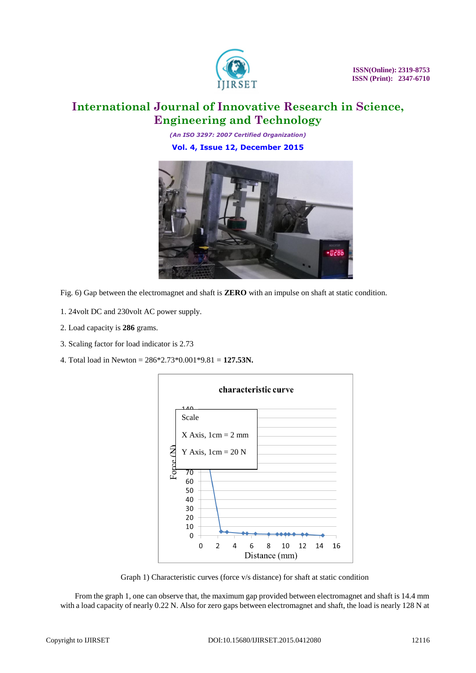

*(An ISO 3297: 2007 Certified Organization)*

**Vol. 4, Issue 12, December 2015**



Fig. 6) Gap between the electromagnet and shaft is **ZERO** with an impulse on shaft at static condition.

- 1. 24volt DC and 230volt AC power supply.
- 2. Load capacity is **286** grams.
- 3. Scaling factor for load indicator is 2.73
- 4. Total load in Newton = 286\*2.73\*0.001\*9.81 = **127.53N.**



Graph 1) Characteristic curves (force v/s distance) for shaft at static condition

From the graph 1, one can observe that, the maximum gap provided between electromagnet and shaft is 14.4 mm with a load capacity of nearly 0.22 N. Also for zero gaps between electromagnet and shaft, the load is nearly 128 N at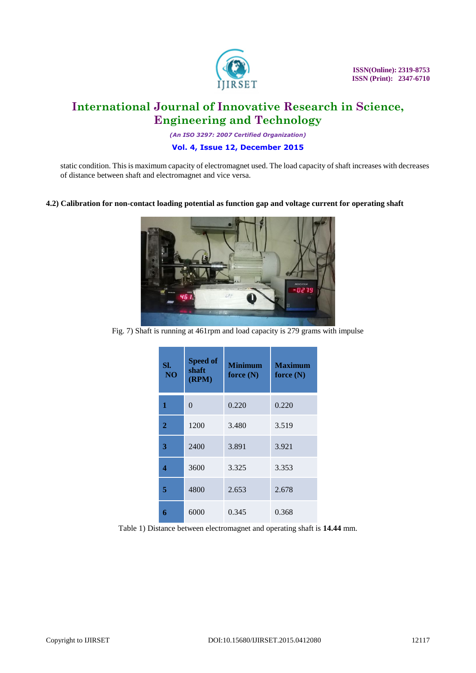

 **ISSN(Online): 2319-8753 ISSN (Print): 2347-6710** 

# **International Journal of Innovative Research in Science, Engineering and Technology**

*(An ISO 3297: 2007 Certified Organization)*

### **Vol. 4, Issue 12, December 2015**

static condition. This is maximum capacity of electromagnet used. The load capacity of shaft increases with decreases of distance between shaft and electromagnet and vice versa.

#### **4.2) Calibration for non-contact loading potential as function gap and voltage current for operating shaft**



Fig. 7) Shaft is running at 461rpm and load capacity is 279 grams with impulse

| SI.<br>NO <sub>1</sub> | <b>Speed of</b><br>shaft<br>(RPM) | <b>Minimum</b><br>force $(N)$ | <b>Maximum</b><br>force $(N)$ |
|------------------------|-----------------------------------|-------------------------------|-------------------------------|
| 1                      | $\Omega$                          | 0.220                         | 0.220                         |
| $\overline{2}$         | 1200                              | 3.480                         | 3.519                         |
| 3                      | 2400                              | 3.891                         | 3.921                         |
| 4                      | 3600                              | 3.325                         | 3.353                         |
| 5                      | 4800                              | 2.653                         | 2.678                         |
| 6                      | 6000                              | 0.345                         | 0.368                         |

Table 1) Distance between electromagnet and operating shaft is **14.44** mm.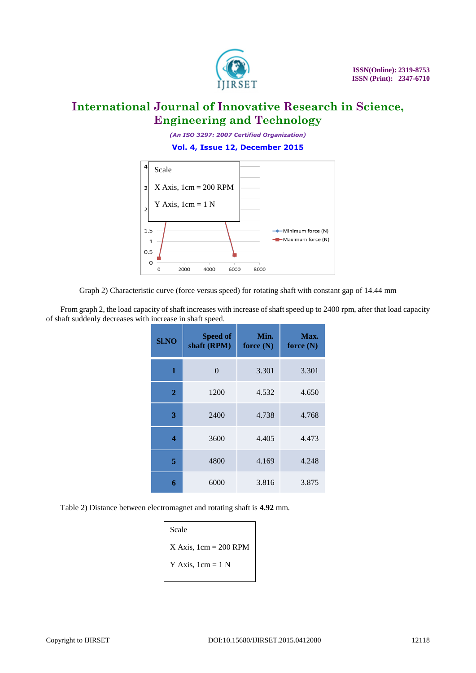

*(An ISO 3297: 2007 Certified Organization)*

**Vol. 4, Issue 12, December 2015**



Graph 2) Characteristic curve (force versus speed) for rotating shaft with constant gap of 14.44 mm

From graph 2, the load capacity of shaft increases with increase of shaft speed up to 2400 rpm, after that load capacity of shaft suddenly decreases with increase in shaft speed.

| Sl.NO          | <b>Speed of</b><br>shaft (RPM) | Min.<br>force $(N)$ | Max.<br>force $(N)$ |
|----------------|--------------------------------|---------------------|---------------------|
| 1              | 0                              | 3.301               | 3.301               |
| $\overline{2}$ | 1200                           | 4.532               | 4.650               |
| 3              | 2400                           | 4.738               | 4.768               |
| 4              | 3600                           | 4.405               | 4.473               |
| 5              | 4800                           | 4.169               | 4.248               |
| 6              | 6000                           | 3.816               | 3.875               |

Table 2) Distance between electromagnet and rotating shaft is **4.92** mm.

| Scale                                   |
|-----------------------------------------|
| X Axis, $1 \text{cm} = 200 \text{ RPM}$ |
| Y Axis, $1cm = 1 N$                     |
|                                         |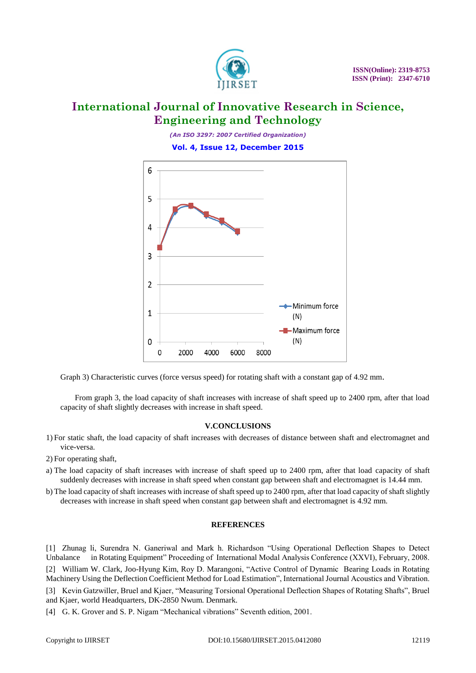

*(An ISO 3297: 2007 Certified Organization)*

**Vol. 4, Issue 12, December 2015**



Graph 3) Characteristic curves (force versus speed) for rotating shaft with a constant gap of 4.92 mm.

From graph 3, the load capacity of shaft increases with increase of shaft speed up to 2400 rpm, after that load capacity of shaft slightly decreases with increase in shaft speed.

#### **V.CONCLUSIONS**

- 1) For static shaft, the load capacity of shaft increases with decreases of distance between shaft and electromagnet and vice-versa.
- 2) For operating shaft,
- a) The load capacity of shaft increases with increase of shaft speed up to 2400 rpm, after that load capacity of shaft suddenly decreases with increase in shaft speed when constant gap between shaft and electromagnet is 14.44 mm.
- b) The load capacity of shaft increases with increase of shaft speed up to 2400 rpm, after that load capacity of shaft slightly decreases with increase in shaft speed when constant gap between shaft and electromagnet is 4.92 mm.

#### **REFERENCES**

[1] Zhunag li, Surendra N. Ganeriwal and Mark h. Richardson "Using Operational Deflection Shapes to Detect Unbalance in Rotating Equipment" Proceeding of International Modal Analysis Conference (XXVI), February, 2008. [2] William W. Clark, Joo-Hyung Kim, Roy D. Marangoni, "Active Control of Dynamic Bearing Loads in Rotating Machinery Using the Deflection Coefficient Method for Load Estimation", International Journal Acoustics and Vibration. [3] Kevin Gatzwiller, Bruel and Kjaer, "Measuring Torsional Operational Deflection Shapes of Rotating Shafts", Bruel and Kjaer, world Headquarters, DK-2850 Nwum. Denmark.

[4] G. K. Grover and S. P. Nigam "Mechanical vibrations" Seventh edition, 2001.